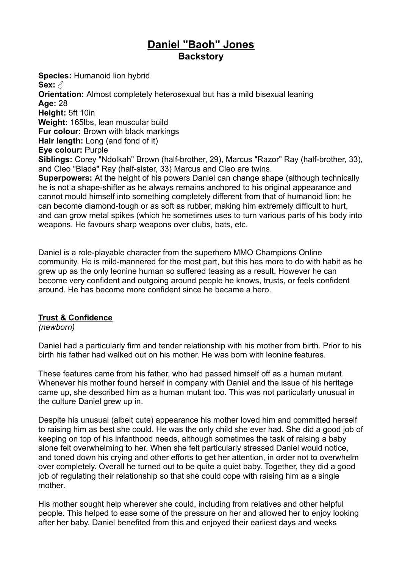# **Daniel "Baoh" Jones Backstory**

**Species:** Humanoid lion hybrid **Sex:** ♂ **Orientation:** Almost completely heterosexual but has a mild bisexual leaning **Age:** 28 **Height:** 5ft 10in **Weight:** 165lbs, lean muscular build **Fur colour:** Brown with black markings **Hair length:** Long (and fond of it) **Eye colour:** Purple **Siblings:** Corey "Ndolkah" Brown (half-brother, 29), Marcus "Razor" Ray (half-brother, 33), and Cleo "Blade" Ray (half-sister, 33) Marcus and Cleo are twins. **Superpowers:** At the height of his powers Daniel can change shape (although technically he is not a shape-shifter as he always remains anchored to his original appearance and cannot mould himself into something completely different from that of humanoid lion; he can become diamond-tough or as soft as rubber, making him extremely difficult to hurt, and can grow metal spikes (which he sometimes uses to turn various parts of his body into weapons. He favours sharp weapons over clubs, bats, etc.

Daniel is a role-playable character from the superhero MMO Champions Online community. He is mild-mannered for the most part, but this has more to do with habit as he grew up as the only leonine human so suffered teasing as a result. However he can become very confident and outgoing around people he knows, trusts, or feels confident around. He has become more confident since he became a hero.

### **Trust & Confidence**

*(newborn)*

Daniel had a particularly firm and tender relationship with his mother from birth. Prior to his birth his father had walked out on his mother. He was born with leonine features.

These features came from his father, who had passed himself off as a human mutant. Whenever his mother found herself in company with Daniel and the issue of his heritage came up, she described him as a human mutant too. This was not particularly unusual in the culture Daniel grew up in.

Despite his unusual (albeit cute) appearance his mother loved him and committed herself to raising him as best she could. He was the only child she ever had. She did a good job of keeping on top of his infanthood needs, although sometimes the task of raising a baby alone felt overwhelming to her. When she felt particularly stressed Daniel would notice, and toned down his crying and other efforts to get her attention, in order not to overwhelm over completely. Overall he turned out to be quite a quiet baby. Together, they did a good job of regulating their relationship so that she could cope with raising him as a single mother.

His mother sought help wherever she could, including from relatives and other helpful people. This helped to ease some of the pressure on her and allowed her to enjoy looking after her baby. Daniel benefited from this and enjoyed their earliest days and weeks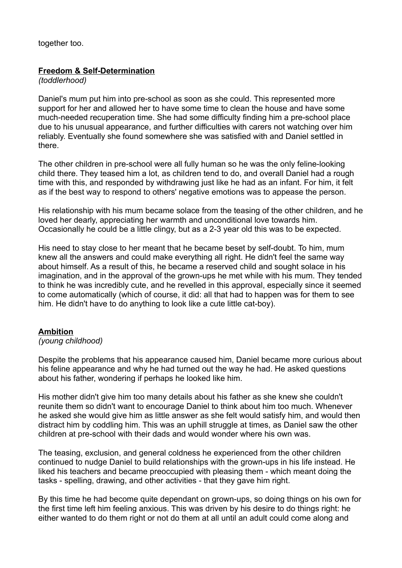together too.

#### **Freedom & Self-Determination**

*(toddlerhood)*

Daniel's mum put him into pre-school as soon as she could. This represented more support for her and allowed her to have some time to clean the house and have some much-needed recuperation time. She had some difficulty finding him a pre-school place due to his unusual appearance, and further difficulties with carers not watching over him reliably. Eventually she found somewhere she was satisfied with and Daniel settled in there.

The other children in pre-school were all fully human so he was the only feline-looking child there. They teased him a lot, as children tend to do, and overall Daniel had a rough time with this, and responded by withdrawing just like he had as an infant. For him, it felt as if the best way to respond to others' negative emotions was to appease the person.

His relationship with his mum became solace from the teasing of the other children, and he loved her dearly, appreciating her warmth and unconditional love towards him. Occasionally he could be a little clingy, but as a 2-3 year old this was to be expected.

His need to stay close to her meant that he became beset by self-doubt. To him, mum knew all the answers and could make everything all right. He didn't feel the same way about himself. As a result of this, he became a reserved child and sought solace in his imagination, and in the approval of the grown-ups he met while with his mum. They tended to think he was incredibly cute, and he revelled in this approval, especially since it seemed to come automatically (which of course, it did: all that had to happen was for them to see him. He didn't have to do anything to look like a cute little cat-boy).

#### **Ambition**

#### *(young childhood)*

Despite the problems that his appearance caused him, Daniel became more curious about his feline appearance and why he had turned out the way he had. He asked questions about his father, wondering if perhaps he looked like him.

His mother didn't give him too many details about his father as she knew she couldn't reunite them so didn't want to encourage Daniel to think about him too much. Whenever he asked she would give him as little answer as she felt would satisfy him, and would then distract him by coddling him. This was an uphill struggle at times, as Daniel saw the other children at pre-school with their dads and would wonder where his own was.

The teasing, exclusion, and general coldness he experienced from the other children continued to nudge Daniel to build relationships with the grown-ups in his life instead. He liked his teachers and became preoccupied with pleasing them - which meant doing the tasks - spelling, drawing, and other activities - that they gave him right.

By this time he had become quite dependant on grown-ups, so doing things on his own for the first time left him feeling anxious. This was driven by his desire to do things right: he either wanted to do them right or not do them at all until an adult could come along and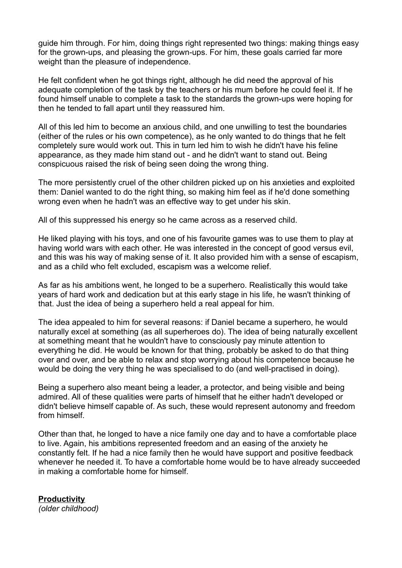guide him through. For him, doing things right represented two things: making things easy for the grown-ups, and pleasing the grown-ups. For him, these goals carried far more weight than the pleasure of independence.

He felt confident when he got things right, although he did need the approval of his adequate completion of the task by the teachers or his mum before he could feel it. If he found himself unable to complete a task to the standards the grown-ups were hoping for then he tended to fall apart until they reassured him.

All of this led him to become an anxious child, and one unwilling to test the boundaries (either of the rules or his own competence), as he only wanted to do things that he felt completely sure would work out. This in turn led him to wish he didn't have his feline appearance, as they made him stand out - and he didn't want to stand out. Being conspicuous raised the risk of being seen doing the wrong thing.

The more persistently cruel of the other children picked up on his anxieties and exploited them: Daniel wanted to do the right thing, so making him feel as if he'd done something wrong even when he hadn't was an effective way to get under his skin.

All of this suppressed his energy so he came across as a reserved child.

He liked playing with his toys, and one of his favourite games was to use them to play at having world wars with each other. He was interested in the concept of good versus evil, and this was his way of making sense of it. It also provided him with a sense of escapism, and as a child who felt excluded, escapism was a welcome relief.

As far as his ambitions went, he longed to be a superhero. Realistically this would take years of hard work and dedication but at this early stage in his life, he wasn't thinking of that. Just the idea of being a superhero held a real appeal for him.

The idea appealed to him for several reasons: if Daniel became a superhero, he would naturally excel at something (as all superheroes do). The idea of being naturally excellent at something meant that he wouldn't have to consciously pay minute attention to everything he did. He would be known for that thing, probably be asked to do that thing over and over, and be able to relax and stop worrying about his competence because he would be doing the very thing he was specialised to do (and well-practised in doing).

Being a superhero also meant being a leader, a protector, and being visible and being admired. All of these qualities were parts of himself that he either hadn't developed or didn't believe himself capable of. As such, these would represent autonomy and freedom from himself.

Other than that, he longed to have a nice family one day and to have a comfortable place to live. Again, his ambitions represented freedom and an easing of the anxiety he constantly felt. If he had a nice family then he would have support and positive feedback whenever he needed it. To have a comfortable home would be to have already succeeded in making a comfortable home for himself.

**Productivity** *(older childhood)*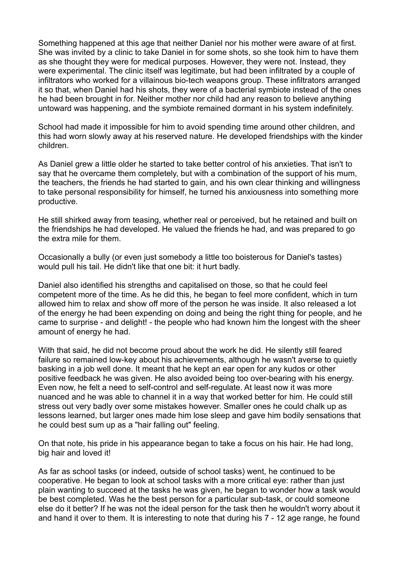Something happened at this age that neither Daniel nor his mother were aware of at first. She was invited by a clinic to take Daniel in for some shots, so she took him to have them as she thought they were for medical purposes. However, they were not. Instead, they were experimental. The clinic itself was legitimate, but had been infiltrated by a couple of infiltrators who worked for a villainous bio-tech weapons group. These infiltrators arranged it so that, when Daniel had his shots, they were of a bacterial symbiote instead of the ones he had been brought in for. Neither mother nor child had any reason to believe anything untoward was happening, and the symbiote remained dormant in his system indefinitely.

School had made it impossible for him to avoid spending time around other children, and this had worn slowly away at his reserved nature. He developed friendships with the kinder children.

As Daniel grew a little older he started to take better control of his anxieties. That isn't to say that he overcame them completely, but with a combination of the support of his mum, the teachers, the friends he had started to gain, and his own clear thinking and willingness to take personal responsibility for himself, he turned his anxiousness into something more productive.

He still shirked away from teasing, whether real or perceived, but he retained and built on the friendships he had developed. He valued the friends he had, and was prepared to go the extra mile for them.

Occasionally a bully (or even just somebody a little too boisterous for Daniel's tastes) would pull his tail. He didn't like that one bit: it hurt badly.

Daniel also identified his strengths and capitalised on those, so that he could feel competent more of the time. As he did this, he began to feel more confident, which in turn allowed him to relax and show off more of the person he was inside. It also released a lot of the energy he had been expending on doing and being the right thing for people, and he came to surprise - and delight! - the people who had known him the longest with the sheer amount of energy he had.

With that said, he did not become proud about the work he did. He silently still feared failure so remained low-key about his achievements, although he wasn't averse to quietly basking in a job well done. It meant that he kept an ear open for any kudos or other positive feedback he was given. He also avoided being too over-bearing with his energy. Even now, he felt a need to self-control and self-regulate. At least now it was more nuanced and he was able to channel it in a way that worked better for him. He could still stress out very badly over some mistakes however. Smaller ones he could chalk up as lessons learned, but larger ones made him lose sleep and gave him bodily sensations that he could best sum up as a "hair falling out" feeling.

On that note, his pride in his appearance began to take a focus on his hair. He had long, big hair and loved it!

As far as school tasks (or indeed, outside of school tasks) went, he continued to be cooperative. He began to look at school tasks with a more critical eye: rather than just plain wanting to succeed at the tasks he was given, he began to wonder how a task would be best completed. Was he the best person for a particular sub-task, or could someone else do it better? If he was not the ideal person for the task then he wouldn't worry about it and hand it over to them. It is interesting to note that during his 7 - 12 age range, he found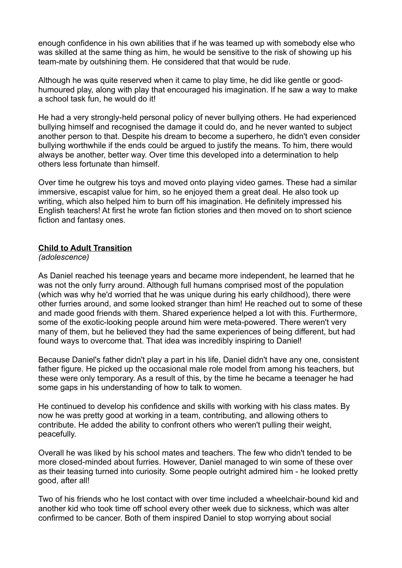enough confidence in his own abilities that if he was teamed up with somebody else who was skilled at the same thing as him, he would be sensitive to the risk of showing up his team-mate by outshining them. He considered that that would be rude.

Although he was quite reserved when it came to play time, he did like gentle or goodhumoured play, along with play that encouraged his imagination. If he saw a way to make a school task fun, he would do it!

He had a very strongly-held personal policy of never bullying others. He had experienced bullying himself and recognised the damage it could do, and he never wanted to subject another person to that. Despite his dream to become a superhero, he didn't even consider bullying worthwhile if the ends could be argued to justify the means. To him, there would always be another, better way. Over time this developed into a determination to help others less fortunate than himself.

Over time he outgrew his toys and moved onto playing video games. These had a similar immersive, escapist value for him, so he enjoyed them a great deal. He also took up writing, which also helped him to burn off his imagination. He definitely impressed his English teachers! At first he wrote fan fiction stories and then moved on to short science fiction and fantasy ones.

#### **Child to Adult Transition**

*(adolescence)*

As Daniel reached his teenage years and became more independent, he learned that he was not the only furry around. Although full humans comprised most of the population (which was why he'd worried that he was unique during his early childhood), there were other furries around, and some looked stranger than him! He reached out to some of these and made good friends with them. Shared experience helped a lot with this. Furthermore, some of the exotic-looking people around him were meta-powered. There weren't very many of them, but he believed they had the same experiences of being different, but had found ways to overcome that. That idea was incredibly inspiring to Daniel!

Because Daniel's father didn't play a part in his life, Daniel didn't have any one, consistent father figure. He picked up the occasional male role model from among his teachers, but these were only temporary. As a result of this, by the time he became a teenager he had some gaps in his understanding of how to talk to women.

He continued to develop his confidence and skills with working with his class mates. By now he was pretty good at working in a team, contributing, and allowing others to contribute. He added the ability to confront others who weren't pulling their weight, peacefully.

Overall he was liked by his school mates and teachers. The few who didn't tended to be more closed-minded about furries. However, Daniel managed to win some of these over as their teasing turned into curiosity. Some people outright admired him - he looked pretty good, after all!

Two of his friends who he lost contact with over time included a wheelchair-bound kid and another kid who took time off school every other week due to sickness, which was alter confirmed to be cancer. Both of them inspired Daniel to stop worrying about social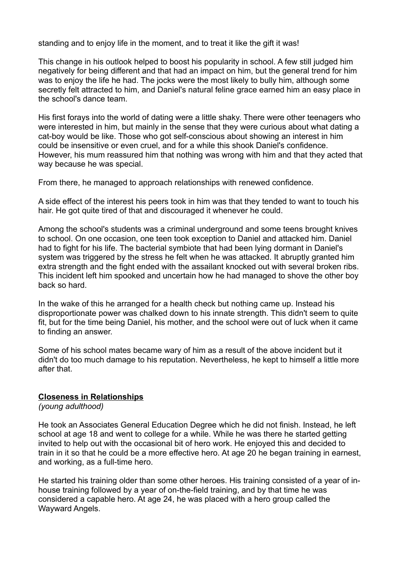standing and to enjoy life in the moment, and to treat it like the gift it was!

This change in his outlook helped to boost his popularity in school. A few still judged him negatively for being different and that had an impact on him, but the general trend for him was to enjoy the life he had. The jocks were the most likely to bully him, although some secretly felt attracted to him, and Daniel's natural feline grace earned him an easy place in the school's dance team.

His first forays into the world of dating were a little shaky. There were other teenagers who were interested in him, but mainly in the sense that they were curious about what dating a cat-boy would be like. Those who got self-conscious about showing an interest in him could be insensitive or even cruel, and for a while this shook Daniel's confidence. However, his mum reassured him that nothing was wrong with him and that they acted that way because he was special.

From there, he managed to approach relationships with renewed confidence.

A side effect of the interest his peers took in him was that they tended to want to touch his hair. He got quite tired of that and discouraged it whenever he could.

Among the school's students was a criminal underground and some teens brought knives to school. On one occasion, one teen took exception to Daniel and attacked him. Daniel had to fight for his life. The bacterial symbiote that had been lying dormant in Daniel's system was triggered by the stress he felt when he was attacked. It abruptly granted him extra strength and the fight ended with the assailant knocked out with several broken ribs. This incident left him spooked and uncertain how he had managed to shove the other boy back so hard.

In the wake of this he arranged for a health check but nothing came up. Instead his disproportionate power was chalked down to his innate strength. This didn't seem to quite fit, but for the time being Daniel, his mother, and the school were out of luck when it came to finding an answer.

Some of his school mates became wary of him as a result of the above incident but it didn't do too much damage to his reputation. Nevertheless, he kept to himself a little more after that.

#### **Closeness in Relationships**

*(young adulthood)*

He took an Associates General Education Degree which he did not finish. Instead, he left school at age 18 and went to college for a while. While he was there he started getting invited to help out with the occasional bit of hero work. He enjoyed this and decided to train in it so that he could be a more effective hero. At age 20 he began training in earnest, and working, as a full-time hero.

He started his training older than some other heroes. His training consisted of a year of inhouse training followed by a year of on-the-field training, and by that time he was considered a capable hero. At age 24, he was placed with a hero group called the Wayward Angels.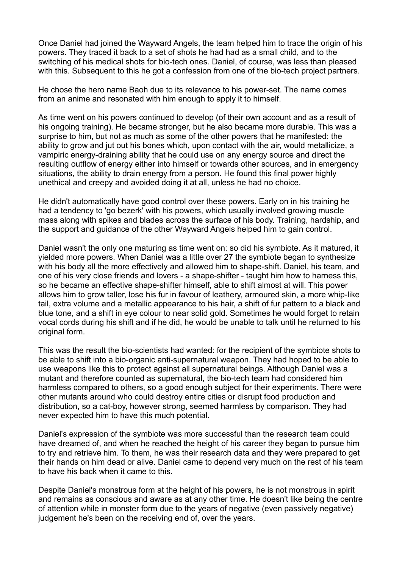Once Daniel had joined the Wayward Angels, the team helped him to trace the origin of his powers. They traced it back to a set of shots he had had as a small child, and to the switching of his medical shots for bio-tech ones. Daniel, of course, was less than pleased with this. Subsequent to this he got a confession from one of the bio-tech project partners.

He chose the hero name Baoh due to its relevance to his power-set. The name comes from an anime and resonated with him enough to apply it to himself.

As time went on his powers continued to develop (of their own account and as a result of his ongoing training). He became stronger, but he also became more durable. This was a surprise to him, but not as much as some of the other powers that he manifested: the ability to grow and jut out his bones which, upon contact with the air, would metallicize, a vampiric energy-draining ability that he could use on any energy source and direct the resulting outflow of energy either into himself or towards other sources, and in emergency situations, the ability to drain energy from a person. He found this final power highly unethical and creepy and avoided doing it at all, unless he had no choice.

He didn't automatically have good control over these powers. Early on in his training he had a tendency to 'go bezerk' with his powers, which usually involved growing muscle mass along with spikes and blades across the surface of his body. Training, hardship, and the support and guidance of the other Wayward Angels helped him to gain control.

Daniel wasn't the only one maturing as time went on: so did his symbiote. As it matured, it yielded more powers. When Daniel was a little over 27 the symbiote began to synthesize with his body all the more effectively and allowed him to shape-shift. Daniel, his team, and one of his very close friends and lovers - a shape-shifter - taught him how to harness this, so he became an effective shape-shifter himself, able to shift almost at will. This power allows him to grow taller, lose his fur in favour of leathery, armoured skin, a more whip-like tail, extra volume and a metallic appearance to his hair, a shift of fur pattern to a black and blue tone, and a shift in eye colour to near solid gold. Sometimes he would forget to retain vocal cords during his shift and if he did, he would be unable to talk until he returned to his original form.

This was the result the bio-scientists had wanted: for the recipient of the symbiote shots to be able to shift into a bio-organic anti-supernatural weapon. They had hoped to be able to use weapons like this to protect against all supernatural beings. Although Daniel was a mutant and therefore counted as supernatural, the bio-tech team had considered him harmless compared to others, so a good enough subject for their experiments. There were other mutants around who could destroy entire cities or disrupt food production and distribution, so a cat-boy, however strong, seemed harmless by comparison. They had never expected him to have this much potential.

Daniel's expression of the symbiote was more successful than the research team could have dreamed of, and when he reached the height of his career they began to pursue him to try and retrieve him. To them, he was their research data and they were prepared to get their hands on him dead or alive. Daniel came to depend very much on the rest of his team to have his back when it came to this.

Despite Daniel's monstrous form at the height of his powers, he is not monstrous in spirit and remains as conscious and aware as at any other time. He doesn't like being the centre of attention while in monster form due to the years of negative (even passively negative) judgement he's been on the receiving end of, over the years.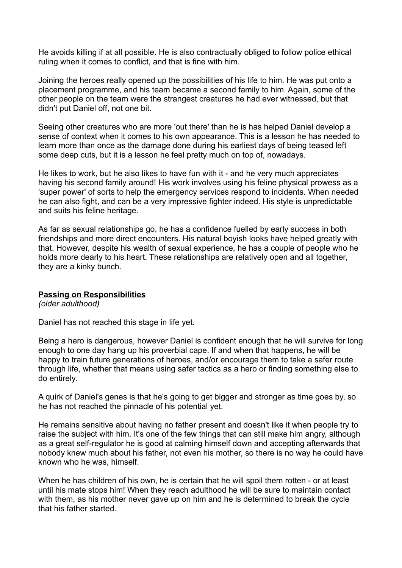He avoids killing if at all possible. He is also contractually obliged to follow police ethical ruling when it comes to conflict, and that is fine with him.

Joining the heroes really opened up the possibilities of his life to him. He was put onto a placement programme, and his team became a second family to him. Again, some of the other people on the team were the strangest creatures he had ever witnessed, but that didn't put Daniel off, not one bit.

Seeing other creatures who are more 'out there' than he is has helped Daniel develop a sense of context when it comes to his own appearance. This is a lesson he has needed to learn more than once as the damage done during his earliest days of being teased left some deep cuts, but it is a lesson he feel pretty much on top of, nowadays.

He likes to work, but he also likes to have fun with it - and he very much appreciates having his second family around! His work involves using his feline physical prowess as a 'super power' of sorts to help the emergency services respond to incidents. When needed he can also fight, and can be a very impressive fighter indeed. His style is unpredictable and suits his feline heritage.

As far as sexual relationships go, he has a confidence fuelled by early success in both friendships and more direct encounters. His natural boyish looks have helped greatly with that. However, despite his wealth of sexual experience, he has a couple of people who he holds more dearly to his heart. These relationships are relatively open and all together, they are a kinky bunch.

#### **Passing on Responsibilities**

*(older adulthood)*

Daniel has not reached this stage in life yet.

Being a hero is dangerous, however Daniel is confident enough that he will survive for long enough to one day hang up his proverbial cape. If and when that happens, he will be happy to train future generations of heroes, and/or encourage them to take a safer route through life, whether that means using safer tactics as a hero or finding something else to do entirely.

A quirk of Daniel's genes is that he's going to get bigger and stronger as time goes by, so he has not reached the pinnacle of his potential yet.

He remains sensitive about having no father present and doesn't like it when people try to raise the subject with him. It's one of the few things that can still make him angry, although as a great self-regulator he is good at calming himself down and accepting afterwards that nobody knew much about his father, not even his mother, so there is no way he could have known who he was, himself.

When he has children of his own, he is certain that he will spoil them rotten - or at least until his mate stops him! When they reach adulthood he will be sure to maintain contact with them, as his mother never gave up on him and he is determined to break the cycle that his father started.